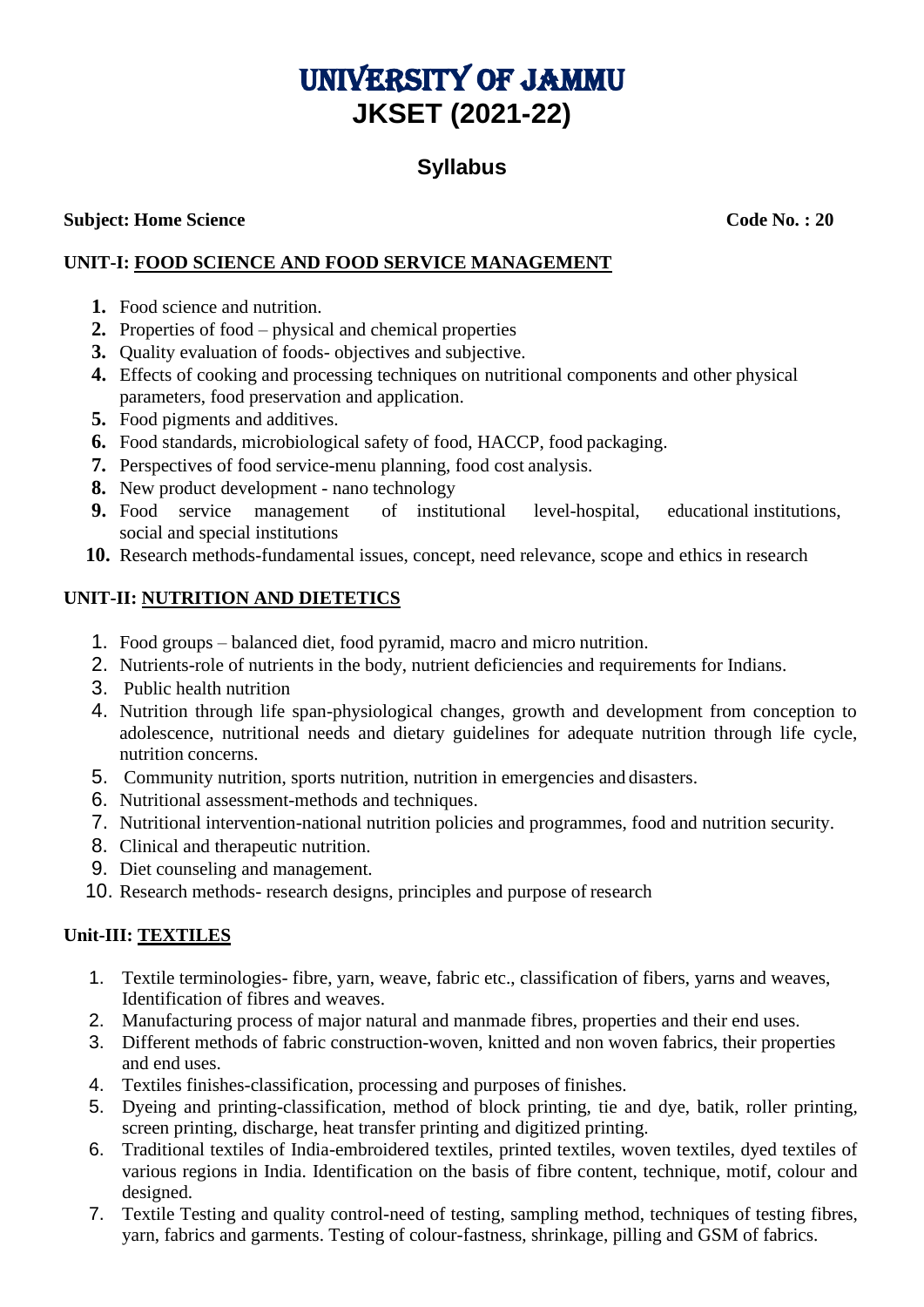# University of Jammu **JKSET (2021-22)**

# **Syllabus**

#### **Subject: Home** Science **Code No. : 20**

### **UNIT-I: FOOD SCIENCE AND FOOD SERVICE MANAGEMENT**

- **1.** Food science and nutrition.
- **2.** Properties of food physical and chemical properties
- **3.** Quality evaluation of foods- objectives and subjective.
- **4.** Effects of cooking and processing techniques on nutritional components and other physical parameters, food preservation and application.
- **5.** Food pigments and additives.
- **6.** Food standards, microbiological safety of food, HACCP, food packaging.
- **7.** Perspectives of food service-menu planning, food cost analysis.
- **8.** New product development nano technology
- **9.** Food service management of institutional level-hospital, educational institutions, social and special institutions
- **10.** Research methods-fundamental issues, concept, need relevance, scope and ethics in research

#### **UNIT-II: NUTRITION AND DIETETICS**

- 1. Food groups balanced diet, food pyramid, macro and micro nutrition.
- 2. Nutrients-role of nutrients in the body, nutrient deficiencies and requirements for Indians.
- 3. Public health nutrition
- 4. Nutrition through life span-physiological changes, growth and development from conception to adolescence, nutritional needs and dietary guidelines for adequate nutrition through life cycle, nutrition concerns.
- 5. Community nutrition, sports nutrition, nutrition in emergencies and disasters.
- 6. Nutritional assessment-methods and techniques.
- 7. Nutritional intervention-national nutrition policies and programmes, food and nutrition security.
- 8. Clinical and therapeutic nutrition.
- 9. Diet counseling and management.
- 10. Research methods- research designs, principles and purpose of research

#### **Unit-III: TEXTILES**

- 1. Textile terminologies- fibre, yarn, weave, fabric etc., classification of fibers, yarns and weaves, Identification of fibres and weaves.
- 2. Manufacturing process of major natural and manmade fibres, properties and their end uses.
- 3. Different methods of fabric construction-woven, knitted and non woven fabrics, their properties and end uses.
- 4. Textiles finishes-classification, processing and purposes of finishes.
- 5. Dyeing and printing-classification, method of block printing, tie and dye, batik, roller printing, screen printing, discharge, heat transfer printing and digitized printing.
- 6. Traditional textiles of India-embroidered textiles, printed textiles, woven textiles, dyed textiles of various regions in India. Identification on the basis of fibre content, technique, motif, colour and designed.
- 7. Textile Testing and quality control-need of testing, sampling method, techniques of testing fibres, yarn, fabrics and garments. Testing of colour-fastness, shrinkage, pilling and GSM of fabrics.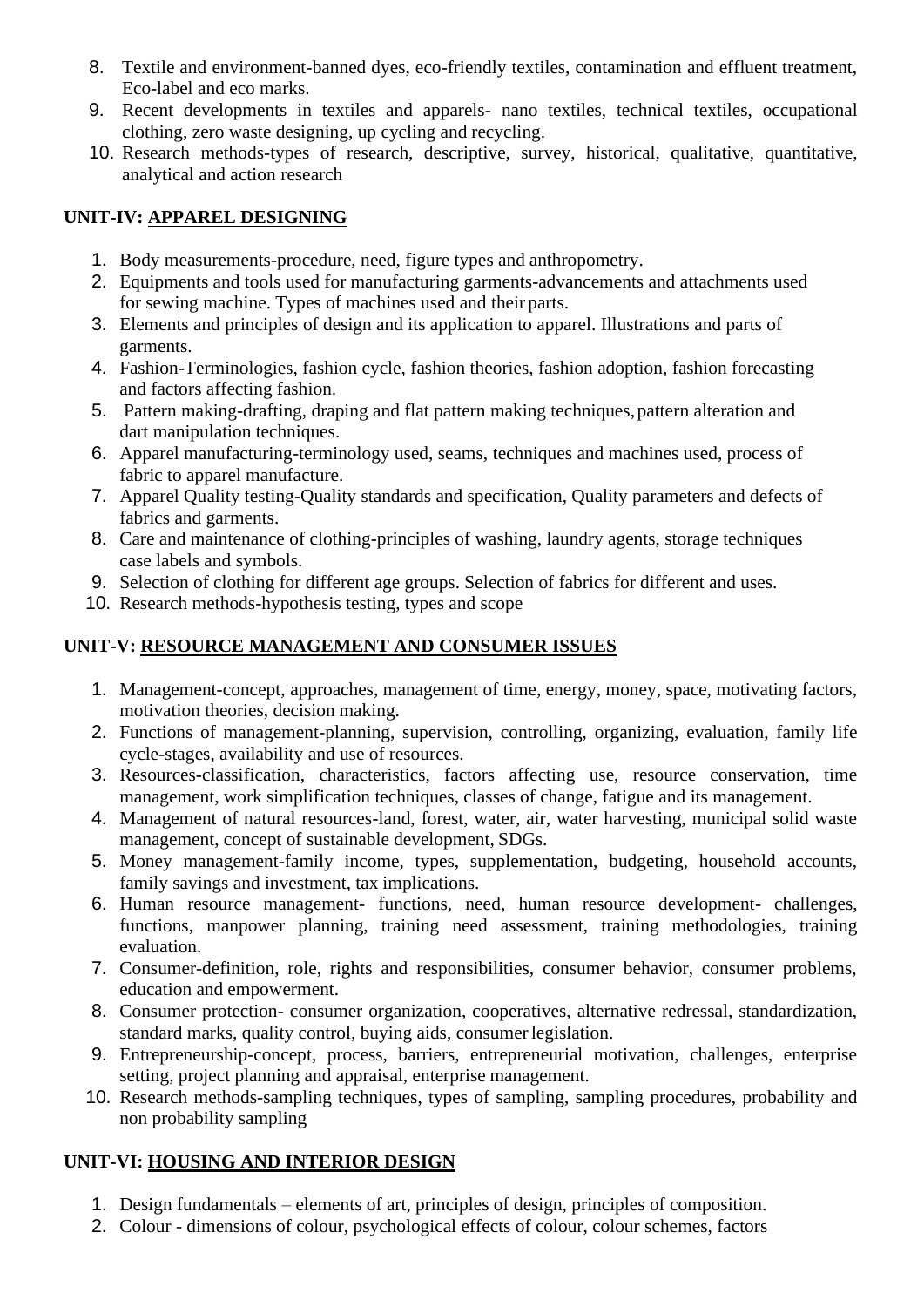- 8. Textile and environment-banned dyes, eco-friendly textiles, contamination and effluent treatment, Eco-label and eco marks.
- 9. Recent developments in textiles and apparels- nano textiles, technical textiles, occupational clothing, zero waste designing, up cycling and recycling.
- 10. Research methods-types of research, descriptive, survey, historical, qualitative, quantitative, analytical and action research

#### **UNIT-IV: APPAREL DESIGNING**

- 1. Body measurements-procedure, need, figure types and anthropometry.
- 2. Equipments and tools used for manufacturing garments-advancements and attachments used for sewing machine. Types of machines used and their parts.
- 3. Elements and principles of design and its application to apparel. Illustrations and parts of garments.
- 4. Fashion-Terminologies, fashion cycle, fashion theories, fashion adoption, fashion forecasting and factors affecting fashion.
- 5. Pattern making-drafting, draping and flat pattern making techniques,pattern alteration and dart manipulation techniques.
- 6. Apparel manufacturing-terminology used, seams, techniques and machines used, process of fabric to apparel manufacture.
- 7. Apparel Quality testing-Quality standards and specification, Quality parameters and defects of fabrics and garments.
- 8. Care and maintenance of clothing-principles of washing, laundry agents, storage techniques case labels and symbols.
- 9. Selection of clothing for different age groups. Selection of fabrics for different and uses.
- 10. Research methods-hypothesis testing, types and scope

### **UNIT-V: RESOURCE MANAGEMENT AND CONSUMER ISSUES**

- 1. Management-concept, approaches, management of time, energy, money, space, motivating factors, motivation theories, decision making.
- 2. Functions of management-planning, supervision, controlling, organizing, evaluation, family life cycle-stages, availability and use of resources.
- 3. Resources-classification, characteristics, factors affecting use, resource conservation, time management, work simplification techniques, classes of change, fatigue and its management.
- 4. Management of natural resources-land, forest, water, air, water harvesting, municipal solid waste management, concept of sustainable development, SDGs.
- 5. Money management-family income, types, supplementation, budgeting, household accounts, family savings and investment, tax implications.
- 6. Human resource management- functions, need, human resource development- challenges, functions, manpower planning, training need assessment, training methodologies, training evaluation.
- 7. Consumer-definition, role, rights and responsibilities, consumer behavior, consumer problems, education and empowerment.
- 8. Consumer protection- consumer organization, cooperatives, alternative redressal, standardization, standard marks, quality control, buying aids, consumerlegislation.
- 9. Entrepreneurship-concept, process, barriers, entrepreneurial motivation, challenges, enterprise setting, project planning and appraisal, enterprise management.
- 10. Research methods-sampling techniques, types of sampling, sampling procedures, probability and non probability sampling

# **UNIT-VI: HOUSING AND INTERIOR DESIGN**

- 1. Design fundamentals elements of art, principles of design, principles of composition.
- 2. Colour dimensions of colour, psychological effects of colour, colour schemes, factors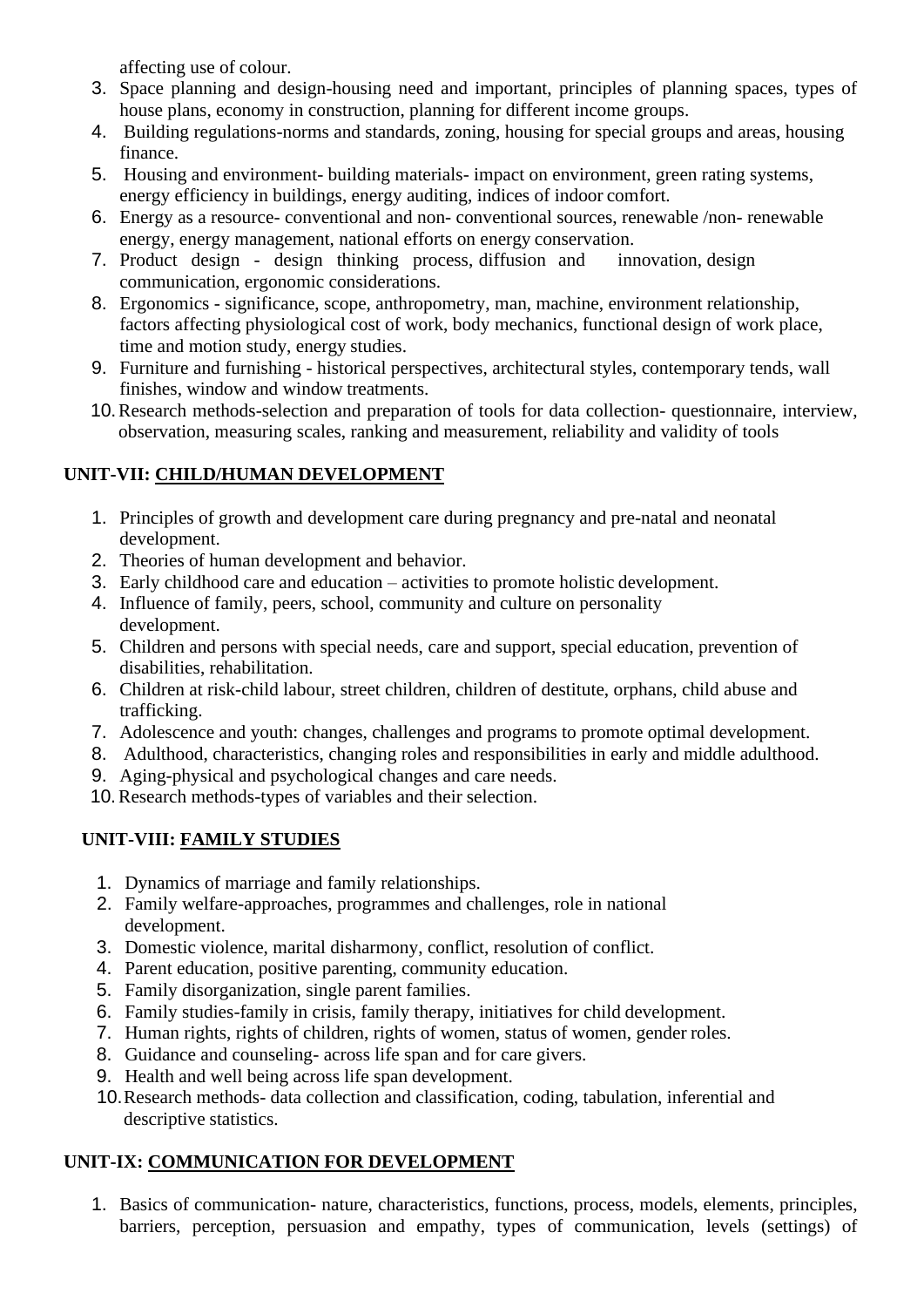affecting use of colour.

- 3. Space planning and design-housing need and important, principles of planning spaces, types of house plans, economy in construction, planning for different income groups.
- 4. Building regulations-norms and standards, zoning, housing for special groups and areas, housing finance.
- 5. Housing and environment- building materials- impact on environment, green rating systems, energy efficiency in buildings, energy auditing, indices of indoor comfort.
- 6. Energy as a resource- conventional and non- conventional sources, renewable /non- renewable energy, energy management, national efforts on energy conservation.
- 7. Product design design thinking process, diffusion and innovation, design communication, ergonomic considerations.
- 8. Ergonomics significance, scope, anthropometry, man, machine, environment relationship, factors affecting physiological cost of work, body mechanics, functional design of work place, time and motion study, energy studies.
- 9. Furniture and furnishing historical perspectives, architectural styles, contemporary tends, wall finishes, window and window treatments.
- 10.Research methods-selection and preparation of tools for data collection- questionnaire, interview, observation, measuring scales, ranking and measurement, reliability and validity of tools

# **UNIT-VII: CHILD/HUMAN DEVELOPMENT**

- 1. Principles of growth and development care during pregnancy and pre-natal and neonatal development.
- 2. Theories of human development and behavior.
- 3. Early childhood care and education activities to promote holistic development.
- 4. Influence of family, peers, school, community and culture on personality development.
- 5. Children and persons with special needs, care and support, special education, prevention of disabilities, rehabilitation.
- 6. Children at risk-child labour, street children, children of destitute, orphans, child abuse and trafficking.
- 7. Adolescence and youth: changes, challenges and programs to promote optimal development.
- 8. Adulthood, characteristics, changing roles and responsibilities in early and middle adulthood.
- 9. Aging-physical and psychological changes and care needs.
- 10.Research methods-types of variables and their selection.

# **UNIT-VIII: FAMILY STUDIES**

- 1. Dynamics of marriage and family relationships.
- 2. Family welfare-approaches, programmes and challenges, role in national development.
- 3. Domestic violence, marital disharmony, conflict, resolution of conflict.
- 4. Parent education, positive parenting, community education.
- 5. Family disorganization, single parent families.
- 6. Family studies-family in crisis, family therapy, initiatives for child development.
- 7. Human rights, rights of children, rights of women, status of women, gender roles.
- 8. Guidance and counseling- across life span and for care givers.
- 9. Health and well being across life span development.
- 10.Research methods- data collection and classification, coding, tabulation, inferential and descriptive statistics.

# **UNIT-IX: COMMUNICATION FOR DEVELOPMENT**

1. Basics of communication- nature, characteristics, functions, process, models, elements, principles, barriers, perception, persuasion and empathy, types of communication, levels (settings) of